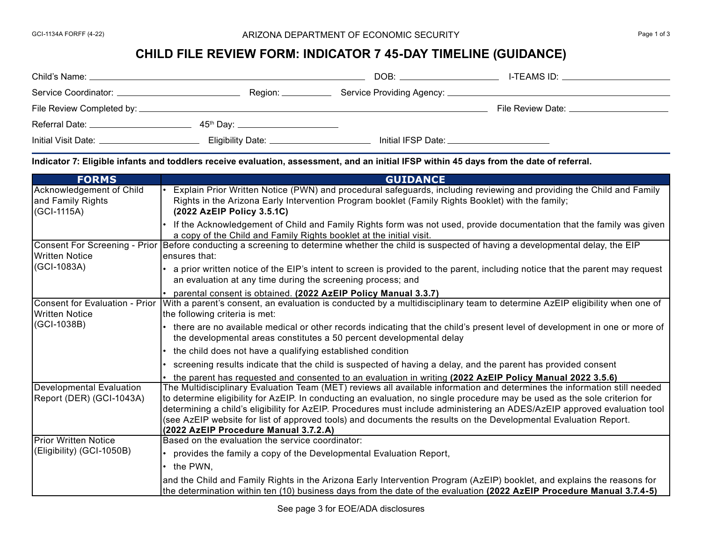## GCI-1134A FORFF (4-22) **Exercise 2 ARIZONA DEPARTMENT OF ECONOMIC SECURITY CONOMIC SECURITY Page 1 of 3**

## **CHILD FILE REVIEW FORM: INDICATOR 7 45-DAY TIMELINE (GUIDANCE)**

| Child's Name: ______                   |                                                 | DOB:                            | I-TEAMS ID: __________________                                                                                                                                                                                                 |
|----------------------------------------|-------------------------------------------------|---------------------------------|--------------------------------------------------------------------------------------------------------------------------------------------------------------------------------------------------------------------------------|
| Service Coordinator: _________________ | Region: _____                                   |                                 |                                                                                                                                                                                                                                |
|                                        |                                                 |                                 | File Review Date: The Review of the Second Second Second Second Second Second Second Second Second Second Second Second Second Second Second Second Second Second Second Second Second Second Second Second Second Second Seco |
| Referral Date:                         | 45 <sup>th</sup> Day: _________________________ |                                 |                                                                                                                                                                                                                                |
| Initial Visit Date:                    | Eligibility Date: __________________            | Initial IFSP Date: Initial IFSP |                                                                                                                                                                                                                                |

**Indicator 7: Eligible infants and toddlers receive evaluation, assessment, and an initial IFSP within 45 days from the date of referral.**

| <b>FORMS</b>                                                    | <b>GUIDANCE</b>                                                                                                                                                                                                                                                                                                                                                                                                                                                                                                                                   |
|-----------------------------------------------------------------|---------------------------------------------------------------------------------------------------------------------------------------------------------------------------------------------------------------------------------------------------------------------------------------------------------------------------------------------------------------------------------------------------------------------------------------------------------------------------------------------------------------------------------------------------|
| Acknowledgement of Child<br>and Family Rights<br>(GCI-1115A)    | Explain Prior Written Notice (PWN) and procedural safeguards, including reviewing and providing the Child and Family<br>Rights in the Arizona Early Intervention Program booklet (Family Rights Booklet) with the family;<br>(2022 AzEIP Policy 3.5.1C)                                                                                                                                                                                                                                                                                           |
|                                                                 | If the Acknowledgement of Child and Family Rights form was not used, provide documentation that the family was given<br>a copy of the Child and Family Rights booklet at the initial visit.                                                                                                                                                                                                                                                                                                                                                       |
| <b>Written Notice</b><br>(GCI-1083A)                            | Consent For Screening - Prior Before conducting a screening to determine whether the child is suspected of having a developmental delay, the EIP<br>lensures that:                                                                                                                                                                                                                                                                                                                                                                                |
|                                                                 | a prior written notice of the EIP's intent to screen is provided to the parent, including notice that the parent may request<br>an evaluation at any time during the screening process; and                                                                                                                                                                                                                                                                                                                                                       |
|                                                                 | parental consent is obtained. (2022 AzEIP Policy Manual 3.3.7)                                                                                                                                                                                                                                                                                                                                                                                                                                                                                    |
| Consent for Evaluation - Prior<br>Written Notice<br>(GCI-1038B) | With a parent's consent, an evaluation is conducted by a multidisciplinary team to determine AzEIP eligibility when one of<br>the following criteria is met:                                                                                                                                                                                                                                                                                                                                                                                      |
|                                                                 | there are no available medical or other records indicating that the child's present level of development in one or more of<br>the developmental areas constitutes a 50 percent developmental delay                                                                                                                                                                                                                                                                                                                                                |
|                                                                 | the child does not have a qualifying established condition                                                                                                                                                                                                                                                                                                                                                                                                                                                                                        |
|                                                                 | screening results indicate that the child is suspected of having a delay, and the parent has provided consent                                                                                                                                                                                                                                                                                                                                                                                                                                     |
|                                                                 | the parent has requested and consented to an evaluation in writing (2022 AzEIP Policy Manual 2022 3.5.6)                                                                                                                                                                                                                                                                                                                                                                                                                                          |
| <b>Developmental Evaluation</b><br>Report (DER) (GCI-1043A)     | The Multidisciplinary Evaluation Team (MET) reviews all available information and determines the information still needed<br>to determine eligibility for AzEIP. In conducting an evaluation, no single procedure may be used as the sole criterion for<br>determining a child's eligibility for AzEIP. Procedures must include administering an ADES/AzEIP approved evaluation tool<br>(see AzEIP website for list of approved tools) and documents the results on the Developmental Evaluation Report.<br>(2022 AzEIP Procedure Manual 3.7.2.A) |
| <b>Prior Written Notice</b><br>(Eligibility) (GCI-1050B)        | Based on the evaluation the service coordinator:                                                                                                                                                                                                                                                                                                                                                                                                                                                                                                  |
|                                                                 | provides the family a copy of the Developmental Evaluation Report,                                                                                                                                                                                                                                                                                                                                                                                                                                                                                |
|                                                                 | the PWN.                                                                                                                                                                                                                                                                                                                                                                                                                                                                                                                                          |
|                                                                 | and the Child and Family Rights in the Arizona Early Intervention Program (AzEIP) booklet, and explains the reasons for<br>the determination within ten (10) business days from the date of the evaluation (2022 AzEIP Procedure Manual 3.7.4-5)                                                                                                                                                                                                                                                                                                  |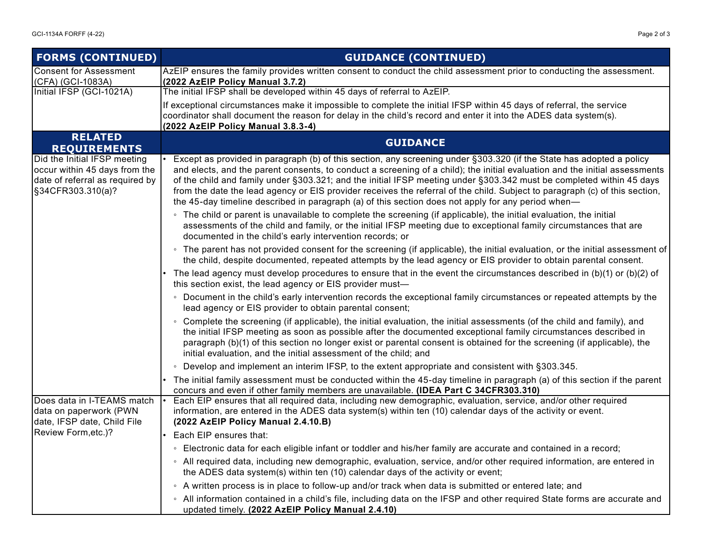| <b>FORMS (CONTINUED)</b>                                                                                              | <b>GUIDANCE (CONTINUED)</b>                                                                                                                                                                                                                                                                                                                                                                                                                                                                                                                                                                                      |  |  |
|-----------------------------------------------------------------------------------------------------------------------|------------------------------------------------------------------------------------------------------------------------------------------------------------------------------------------------------------------------------------------------------------------------------------------------------------------------------------------------------------------------------------------------------------------------------------------------------------------------------------------------------------------------------------------------------------------------------------------------------------------|--|--|
| <b>Consent for Assessment</b><br>(CFA) (GCI-1083A)                                                                    | AzEIP ensures the family provides written consent to conduct the child assessment prior to conducting the assessment.<br>(2022 AzEIP Policy Manual 3.7.2)                                                                                                                                                                                                                                                                                                                                                                                                                                                        |  |  |
| Initial IFSP (GCI-1021A)                                                                                              | The initial IFSP shall be developed within 45 days of referral to AzEIP.                                                                                                                                                                                                                                                                                                                                                                                                                                                                                                                                         |  |  |
|                                                                                                                       | If exceptional circumstances make it impossible to complete the initial IFSP within 45 days of referral, the service<br>coordinator shall document the reason for delay in the child's record and enter it into the ADES data system(s).                                                                                                                                                                                                                                                                                                                                                                         |  |  |
| <b>RELATED</b>                                                                                                        | (2022 AzEIP Policy Manual 3.8.3-4)                                                                                                                                                                                                                                                                                                                                                                                                                                                                                                                                                                               |  |  |
| <b>REQUIREMENTS</b>                                                                                                   | <b>GUIDANCE</b>                                                                                                                                                                                                                                                                                                                                                                                                                                                                                                                                                                                                  |  |  |
| Did the Initial IFSP meeting<br>occur within 45 days from the<br>date of referral as required by<br>§34CFR303.310(a)? | Except as provided in paragraph (b) of this section, any screening under §303.320 (if the State has adopted a policy<br>and elects, and the parent consents, to conduct a screening of a child); the initial evaluation and the initial assessments<br>of the child and family under §303.321; and the initial IFSP meeting under §303.342 must be completed within 45 days<br>from the date the lead agency or EIS provider receives the referral of the child. Subject to paragraph (c) of this section,<br>the 45-day timeline described in paragraph (a) of this section does not apply for any period when— |  |  |
|                                                                                                                       | • The child or parent is unavailable to complete the screening (if applicable), the initial evaluation, the initial<br>assessments of the child and family, or the initial IFSP meeting due to exceptional family circumstances that are<br>documented in the child's early intervention records; or                                                                                                                                                                                                                                                                                                             |  |  |
|                                                                                                                       | ∘ The parent has not provided consent for the screening (if applicable), the initial evaluation, or the initial assessment of<br>the child, despite documented, repeated attempts by the lead agency or EIS provider to obtain parental consent.                                                                                                                                                                                                                                                                                                                                                                 |  |  |
|                                                                                                                       | The lead agency must develop procedures to ensure that in the event the circumstances described in $(b)(1)$ or $(b)(2)$ of<br>this section exist, the lead agency or EIS provider must-                                                                                                                                                                                                                                                                                                                                                                                                                          |  |  |
|                                                                                                                       | • Document in the child's early intervention records the exceptional family circumstances or repeated attempts by the<br>lead agency or EIS provider to obtain parental consent;                                                                                                                                                                                                                                                                                                                                                                                                                                 |  |  |
|                                                                                                                       | • Complete the screening (if applicable), the initial evaluation, the initial assessments (of the child and family), and<br>the initial IFSP meeting as soon as possible after the documented exceptional family circumstances described in<br>paragraph (b)(1) of this section no longer exist or parental consent is obtained for the screening (if applicable), the<br>initial evaluation, and the initial assessment of the child; and                                                                                                                                                                       |  |  |
|                                                                                                                       | • Develop and implement an interim IFSP, to the extent appropriate and consistent with §303.345.                                                                                                                                                                                                                                                                                                                                                                                                                                                                                                                 |  |  |
|                                                                                                                       | The initial family assessment must be conducted within the 45-day timeline in paragraph (a) of this section if the parent<br>concurs and even if other family members are unavailable. (IDEA Part C 34CFR303.310)                                                                                                                                                                                                                                                                                                                                                                                                |  |  |
| Does data in I-TEAMS match<br>data on paperwork (PWN<br>date, IFSP date, Child File                                   | Each EIP ensures that all required data, including new demographic, evaluation, service, and/or other required<br>information, are entered in the ADES data system(s) within ten (10) calendar days of the activity or event.<br>(2022 AzEIP Policy Manual 2.4.10.B)                                                                                                                                                                                                                                                                                                                                             |  |  |
| Review Form, etc.)?                                                                                                   | Each EIP ensures that:                                                                                                                                                                                                                                                                                                                                                                                                                                                                                                                                                                                           |  |  |
|                                                                                                                       | ∘ Electronic data for each eligible infant or toddler and his/her family are accurate and contained in a record;                                                                                                                                                                                                                                                                                                                                                                                                                                                                                                 |  |  |
|                                                                                                                       | ∘ All required data, including new demographic, evaluation, service, and/or other required information, are entered in<br>the ADES data system(s) within ten (10) calendar days of the activity or event;                                                                                                                                                                                                                                                                                                                                                                                                        |  |  |
|                                                                                                                       | • A written process is in place to follow-up and/or track when data is submitted or entered late; and                                                                                                                                                                                                                                                                                                                                                                                                                                                                                                            |  |  |
|                                                                                                                       | ∘ All information contained in a child's file, including data on the IFSP and other required State forms are accurate and<br>updated timely. (2022 AzEIP Policy Manual 2.4.10)                                                                                                                                                                                                                                                                                                                                                                                                                                   |  |  |